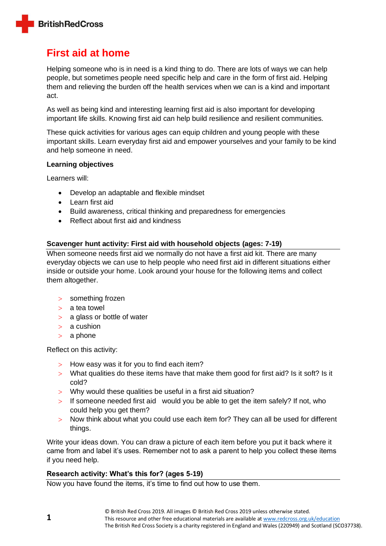

# **First aid at home**

Helping someone who is in need is a kind thing to do. There are lots of ways we can help people, but sometimes people need specific help and care in the form of first aid. Helping them and relieving the burden off the health services when we can is a kind and important act.

As well as being kind and interesting learning first aid is also important for developing important life skills. Knowing first aid can help build resilience and resilient communities.

These quick activities for various ages can equip children and young people with these important skills. Learn everyday first aid and empower yourselves and your family to be kind and help someone in need.

## **Learning objectives**

Learners will:

- Develop an adaptable and flexible mindset
- Learn first aid
- Build awareness, critical thinking and preparedness for emergencies
- Reflect about first aid and kindness

## **Scavenger hunt activity: First aid with household objects (ages: 7-19)**

When someone needs first aid we normally do not have a first aid kit. There are many everyday objects we can use to help people who need first aid in different situations either inside or outside your home. Look around your house for the following items and collect them altogether.

- > something frozen
- $> a$  tea towel
- $> a$  glass or bottle of water
- $> a$  cushion
- a phone

Reflect on this activity:

- $>$  How easy was it for you to find each item?
- What qualities do these items have that make them good for first aid? Is it soft? Is it cold?
- Why would these qualities be useful in a first aid situation?
- $>$  If someone needed first aid would you be able to get the item safely? If not, who could help you get them?
- $>$  Now think about what you could use each item for? They can all be used for different things.

Write your ideas down. You can draw a picture of each item before you put it back where it came from and label it's uses. Remember not to ask a parent to help you collect these items if you need help.

## **Research activity: What's this for? (ages 5-19)**

Now you have found the items, it's time to find out how to use them.